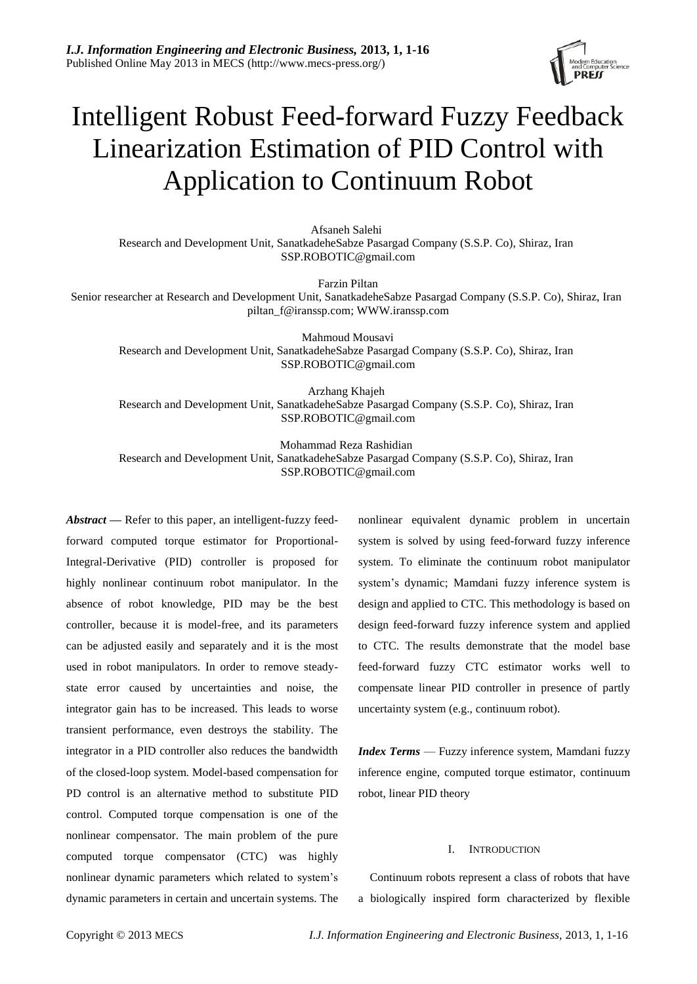

# Intelligent Robust Feed-forward Fuzzy Feedback Linearization Estimation of PID Control with Application to Continuum Robot

Afsaneh Salehi Research and Development Unit, SanatkadeheSabze Pasargad Company (S.S.P. Co), Shiraz, Iran [SSP.ROBOTIC@gmail.com](mailto:SSP.ROBOTIC@gmail.com)

Farzin Piltan Senior researcher at Research and Development Unit, SanatkadeheSabze Pasargad Company (S.S.P. Co), Shiraz, Iran [piltan\\_f@iranssp.com;](mailto:piltan_f@iranssp.com) WWW.iranssp.com

Mahmoud Mousavi Research and Development Unit, SanatkadeheSabze Pasargad Company (S.S.P. Co), Shiraz, Iran [SSP.ROBOTIC@gmail.com](mailto:SSP.ROBOTIC@gmail.com)

Arzhang Khajeh Research and Development Unit, SanatkadeheSabze Pasargad Company (S.S.P. Co), Shiraz, Iran [SSP.ROBOTIC@gmail.com](mailto:SSP.ROBOTIC@gmail.com)

Mohammad Reza Rashidian

Research and Development Unit, SanatkadeheSabze Pasargad Company (S.S.P. Co), Shiraz, Iran [SSP.ROBOTIC@gmail.com](mailto:SSP.ROBOTIC@gmail.com)

*Abstract —* Refer to this paper, an intelligent-fuzzy feedforward computed torque estimator for Proportional-Integral-Derivative (PID) controller is proposed for highly nonlinear continuum robot manipulator. In the absence of robot knowledge, PID may be the best controller, because it is model-free, and its parameters can be adjusted easily and separately and it is the most used in robot manipulators. In order to remove steadystate error caused by uncertainties and noise, the integrator gain has to be increased. This leads to worse transient performance, even destroys the stability. The integrator in a PID controller also reduces the bandwidth of the closed-loop system. Model-based compensation for PD control is an alternative method to substitute PID control. Computed torque compensation is one of the nonlinear compensator. The main problem of the pure computed torque compensator (CTC) was highly nonlinear dynamic parameters which related to system's dynamic parameters in certain and uncertain systems. The nonlinear equivalent dynamic problem in uncertain system is solved by using feed-forward fuzzy inference system. To eliminate the continuum robot manipulator system's dynamic; Mamdani fuzzy inference system is design and applied to CTC. This methodology is based on design feed-forward fuzzy inference system and applied to CTC. The results demonstrate that the model base feed-forward fuzzy CTC estimator works well to compensate linear PID controller in presence of partly uncertainty system (e.g., continuum robot).

*Index Terms* — Fuzzy inference system, Mamdani fuzzy inference engine, computed torque estimator, continuum robot, linear PID theory

#### I. INTRODUCTION

Continuum robots represent a class of robots that have a biologically inspired form characterized by flexible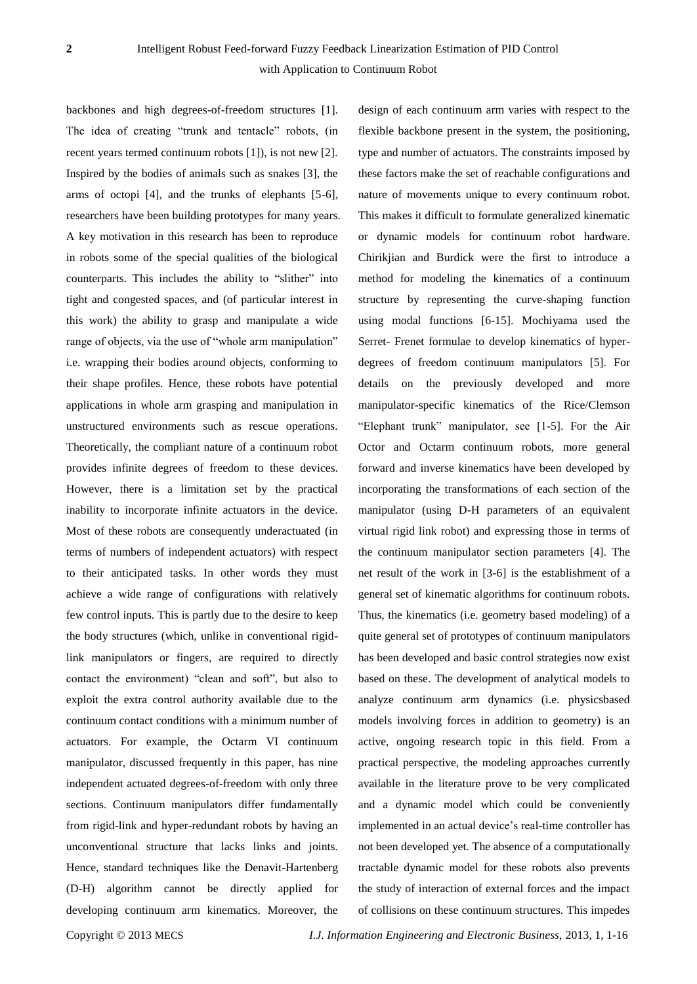backbones and high degrees-of-freedom structures [1]. The idea of creating "trunk and tentacle" robots, (in recent years termed continuum robots [1]), is not new [2]. Inspired by the bodies of animals such as snakes [3], the arms of octopi [4], and the trunks of elephants [5-6], researchers have been building prototypes for many years. A key motivation in this research has been to reproduce in robots some of the special qualities of the biological counterparts. This includes the ability to "slither" into tight and congested spaces, and (of particular interest in this work) the ability to grasp and manipulate a wide range of objects, via the use of "whole arm manipulation" i.e. wrapping their bodies around objects, conforming to their shape profiles. Hence, these robots have potential applications in whole arm grasping and manipulation in unstructured environments such as rescue operations. Theoretically, the compliant nature of a continuum robot provides infinite degrees of freedom to these devices. However, there is a limitation set by the practical inability to incorporate infinite actuators in the device. Most of these robots are consequently underactuated (in terms of numbers of independent actuators) with respect to their anticipated tasks. In other words they must achieve a wide range of configurations with relatively few control inputs. This is partly due to the desire to keep the body structures (which, unlike in conventional rigidlink manipulators or fingers, are required to directly contact the environment) "clean and soft", but also to exploit the extra control authority available due to the continuum contact conditions with a minimum number of actuators. For example, the Octarm VI continuum manipulator, discussed frequently in this paper, has nine independent actuated degrees-of-freedom with only three sections. Continuum manipulators differ fundamentally from rigid-link and hyper-redundant robots by having an unconventional structure that lacks links and joints. Hence, standard techniques like the Denavit-Hartenberg (D-H) algorithm cannot be directly applied for developing continuum arm kinematics. Moreover, the

design of each continuum arm varies with respect to the flexible backbone present in the system, the positioning, type and number of actuators. The constraints imposed by these factors make the set of reachable configurations and nature of movements unique to every continuum robot. This makes it difficult to formulate generalized kinematic or dynamic models for continuum robot hardware. Chirikjian and Burdick were the first to introduce a method for modeling the kinematics of a continuum structure by representing the curve-shaping function using modal functions [6-15]. Mochiyama used the Serret- Frenet formulae to develop kinematics of hyperdegrees of freedom continuum manipulators [5]. For details on the previously developed and more manipulator-specific kinematics of the Rice/Clemson "Elephant trunk" manipulator, see [1-5]. For the Air Octor and Octarm continuum robots, more general forward and inverse kinematics have been developed by incorporating the transformations of each section of the manipulator (using D-H parameters of an equivalent virtual rigid link robot) and expressing those in terms of the continuum manipulator section parameters [4]. The net result of the work in [3-6] is the establishment of a general set of kinematic algorithms for continuum robots. Thus, the kinematics (i.e. geometry based modeling) of a quite general set of prototypes of continuum manipulators has been developed and basic control strategies now exist based on these. The development of analytical models to analyze continuum arm dynamics (i.e. physicsbased models involving forces in addition to geometry) is an active, ongoing research topic in this field. From a practical perspective, the modeling approaches currently available in the literature prove to be very complicated and a dynamic model which could be conveniently implemented in an actual device's real-time controller has not been developed yet. The absence of a computationally tractable dynamic model for these robots also prevents the study of interaction of external forces and the impact of collisions on these continuum structures. This impedes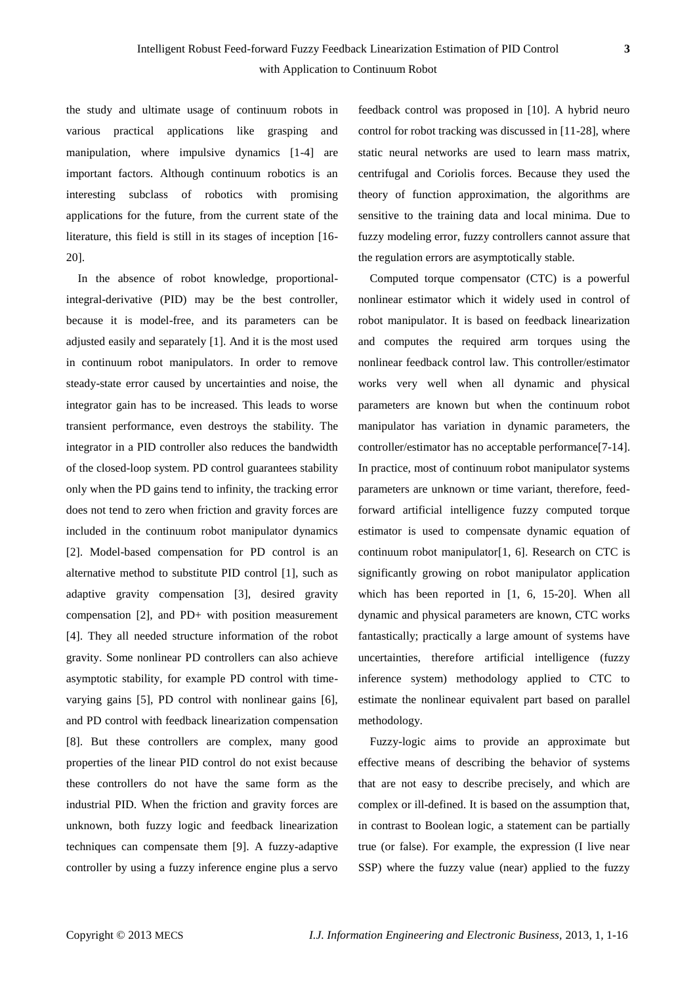the study and ultimate usage of continuum robots in various practical applications like grasping and manipulation, where impulsive dynamics [1-4] are important factors. Although continuum robotics is an interesting subclass of robotics with promising applications for the future, from the current state of the literature, this field is still in its stages of inception [16- 20].

In the absence of robot knowledge, proportionalintegral-derivative (PID) may be the best controller, because it is model-free, and its parameters can be adjusted easily and separately [1]. And it is the most used in continuum robot manipulators. In order to remove steady-state error caused by uncertainties and noise, the integrator gain has to be increased. This leads to worse transient performance, even destroys the stability. The integrator in a PID controller also reduces the bandwidth of the closed-loop system. PD control guarantees stability only when the PD gains tend to infinity, the tracking error does not tend to zero when friction and gravity forces are included in the continuum robot manipulator dynamics [2]. Model-based compensation for PD control is an alternative method to substitute PID control [1], such as adaptive gravity compensation [3], desired gravity compensation [2], and PD+ with position measurement [4]. They all needed structure information of the robot gravity. Some nonlinear PD controllers can also achieve asymptotic stability, for example PD control with timevarying gains [5], PD control with nonlinear gains [6], and PD control with feedback linearization compensation [8]. But these controllers are complex, many good properties of the linear PID control do not exist because these controllers do not have the same form as the industrial PID. When the friction and gravity forces are unknown, both fuzzy logic and feedback linearization techniques can compensate them [9]. A fuzzy-adaptive controller by using a fuzzy inference engine plus a servo

feedback control was proposed in [10]. A hybrid neuro control for robot tracking was discussed in [11-28], where static neural networks are used to learn mass matrix, centrifugal and Coriolis forces. Because they used the theory of function approximation, the algorithms are sensitive to the training data and local minima. Due to fuzzy modeling error, fuzzy controllers cannot assure that the regulation errors are asymptotically stable.

Computed torque compensator (CTC) is a powerful nonlinear estimator which it widely used in control of robot manipulator. It is based on feedback linearization and computes the required arm torques using the nonlinear feedback control law. This controller/estimator works very well when all dynamic and physical parameters are known but when the continuum robot manipulator has variation in dynamic parameters, the controller/estimator has no acceptable performance[7-14]. In practice, most of continuum robot manipulator systems parameters are unknown or time variant, therefore, feedforward artificial intelligence fuzzy computed torque estimator is used to compensate dynamic equation of continuum robot manipulator[1, 6]. Research on CTC is significantly growing on robot manipulator application which has been reported in [1, 6, 15-20]. When all dynamic and physical parameters are known, CTC works fantastically; practically a large amount of systems have uncertainties, therefore artificial intelligence (fuzzy inference system) methodology applied to CTC to estimate the nonlinear equivalent part based on parallel methodology.

Fuzzy-logic aims to provide an approximate but effective means of describing the behavior of systems that are not easy to describe precisely, and which are complex or ill-defined. It is based on the assumption that, in contrast to Boolean logic, a statement can be partially true (or false). For example, the expression (I live near SSP) where the fuzzy value (near) applied to the fuzzy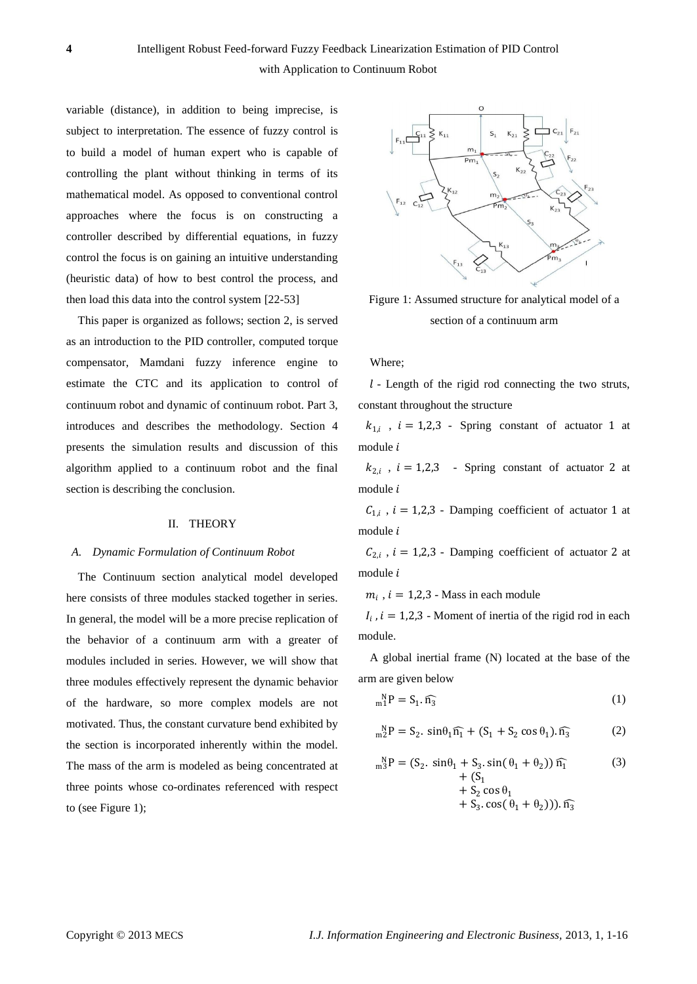variable (distance), in addition to being imprecise, is subject to interpretation. The essence of fuzzy control is to build a model of human expert who is capable of controlling the plant without thinking in terms of its mathematical model. As opposed to conventional control approaches where the focus is on constructing a controller described by differential equations, in fuzzy control the focus is on gaining an intuitive understanding (heuristic data) of how to best control the process, and then load this data into the control system [22-53]

This paper is organized as follows; section 2, is served as an introduction to the PID controller, computed torque compensator, Mamdani fuzzy inference engine to estimate the CTC and its application to control of continuum robot and dynamic of continuum robot. Part 3, introduces and describes the methodology. Section 4 presents the simulation results and discussion of this algorithm applied to a continuum robot and the final section is describing the conclusion.

#### II. THEORY

#### *A. Dynamic Formulation of Continuum Robot*

The Continuum section analytical model developed here consists of three modules stacked together in series. In general, the model will be a more precise replication of the behavior of a continuum arm with a greater of modules included in series. However, we will show that three modules effectively represent the dynamic behavior of the hardware, so more complex models are not motivated. Thus, the constant curvature bend exhibited by the section is incorporated inherently within the model. The mass of the arm is modeled as being concentrated at three points whose co-ordinates referenced with respect to (see Figure 1);



Figure 1: Assumed structure for analytical model of a section of a continuum arm

#### Where;

 $l$  - Length of the rigid rod connecting the two struts, constant throughout the structure

 $k_{1,i}$ ,  $i = 1,2,3$ . Spring constant of actuator 1 at module *i* 

 $k_{2,i}$ ,  $i = 1,2,3$  - Spring constant of actuator 2 at module *i* 

 $C_{1,i}$ ,  $i = 1,2,3$  - Damping coefficient of actuator 1 at module i

 $C_{2,i}$ ,  $i = 1,2,3$  - Damping coefficient of actuator 2 at module *i* 

 $m_i$ ,  $i = 1,2,3$  - Mass in each module

 $I_i$ ,  $i = 1,2,3$  - Moment of inertia of the rigid rod in each module.

A global inertial frame (N) located at the base of the arm are given below

$$
{}_{m}^{N}P = S_{1}.\widehat{n_{3}} \tag{1}
$$

$$
{}_{m2}^{N}P = S_2. \sin\theta_1 \widehat{n_1} + (S_1 + S_2 \cos\theta_1). \widehat{n_3}
$$
 (2)

$$
{}_{m}^{N}P = (S_{2}. \sin\theta_{1} + S_{3}. \sin(\theta_{1} + \theta_{2})) \widehat{n_{1}}
$$
  
+ (S\_{1}  
+ S\_{2} \cos \theta\_{1}  
+ S\_{3}. \cos(\theta\_{1} + \theta\_{2})) ). \widehat{n\_{3}}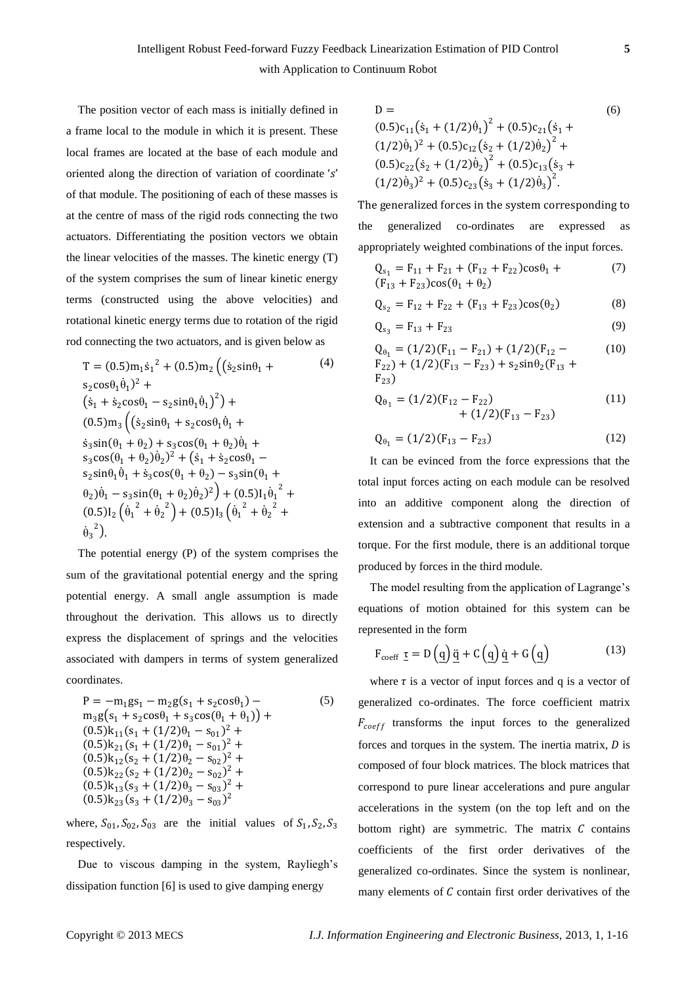The position vector of each mass is initially defined in a frame local to the module in which it is present. These local frames are located at the base of each module and oriented along the direction of variation of coordinate 's' of that module. The positioning of each of these masses is at the centre of mass of the rigid rods connecting the two actuators. Differentiating the position vectors we obtain the linear velocities of the masses. The kinetic energy (T) of the system comprises the sum of linear kinetic energy terms (constructed using the above velocities) and rotational kinetic energy terms due to rotation of the rigid rod connecting the two actuators, and is given below as

$$
T = (0.5)m_1\dot{s}_1{}^2 + (0.5)m_2\left((\dot{s}_2\sin\theta_1 + \frac{s_2\cos\theta_1\dot{\theta}_1{}^2 + (s_1 + \dot{s}_2\cos\theta_1 - s_2\sin\theta_1\dot{\theta}_1{}^2) + (0.5)m_3\left((\dot{s}_2\sin\theta_1 + s_2\cos\theta_1\dot{\theta}_1 + \dot{s}_3\sin(\theta_1 + \theta_2) + s_3\cos(\theta_1 + \theta_2)\dot{\theta}_1 + \frac{s_3\cos(\theta_1 + \theta_2)\dot{\theta}_2{}^2 + (\dot{s}_1 + \dot{s}_2\cos\theta_1 - \frac{s_2\sin\theta_1\dot{\theta}_1 + \dot{s}_3\cos(\theta_1 + \theta_2) - s_3\sin(\theta_1 + \theta_2)\dot{\theta}_1 - s_3\sin(\theta_1 + \theta_2)\dot{\theta}_2{}^2\right) + (0.5)I_1\dot{\theta}_1{}^2 + (0.5)I_2\left(\dot{\theta}_1{}^2 + \dot{\theta}_2{}^2\right) + (0.5)I_3\left(\dot{\theta}_1{}^2 + \dot{\theta}_2{}^2 + \dot{\theta}_3{}^2\right).
$$
 (9.1)

The potential energy (P) of the system comprises the sum of the gravitational potential energy and the spring potential energy. A small angle assumption is made throughout the derivation. This allows us to directly express the displacement of springs and the velocities associated with dampers in terms of system generalized coordinates.

$$
P = -m_1gs_1 - m_2g(s_1 + s_2\cos\theta_1) -
$$
  
\n
$$
m_3g(s_1 + s_2\cos\theta_1 + s_3\cos(\theta_1 + \theta_1)) +
$$
  
\n
$$
(0.5)k_{11}(s_1 + (1/2)\theta_1 - s_{01})^2 +
$$
  
\n
$$
(0.5)k_{21}(s_1 + (1/2)\theta_1 - s_{01})^2 +
$$
  
\n
$$
(0.5)k_{12}(s_2 + (1/2)\theta_2 - s_{02})^2 +
$$
  
\n
$$
(0.5)k_{22}(s_2 + (1/2)\theta_2 - s_{02})^2 +
$$
  
\n
$$
(0.5)k_{13}(s_3 + (1/2)\theta_3 - s_{03})^2 +
$$
  
\n
$$
(0.5)k_{23}(s_3 + (1/2)\theta_3 - s_{03})^2
$$

where,  $S_{01}$ ,  $S_{02}$ ,  $S_{03}$  are the initial values of  $S_1$ ,  $S_2$ ,  $S_3$ respectively.

Due to viscous damping in the system, Rayliegh's dissipation function [6] is used to give damping energy

D = (6)  
\n
$$
(0.5)c_{11}(\dot{s}_1 + (1/2)\dot{\theta}_1)^2 + (0.5)c_{21}(\dot{s}_1 + (1/2)\dot{\theta}_1)^2 + (0.5)c_{12}(\dot{s}_2 + (1/2)\dot{\theta}_2)^2 + (0.5)c_{22}(\dot{s}_2 + (1/2)\dot{\theta}_2)^2 + (0.5)c_{13}(\dot{s}_3 + (1/2)\dot{\theta}_3)^2 + (0.5)c_{23}(\dot{s}_3 + (1/2)\dot{\theta}_3)^2.
$$

The generalized forces in the system corresponding to the generalized co-ordinates are expressed appropriately weighted combinations of the input forces.

$$
Q_{s_1} = F_{11} + F_{21} + (F_{12} + F_{22})\cos\theta_1 +
$$
  
(F<sub>13</sub> + F<sub>23</sub>)cos(\theta<sub>1</sub> + \theta<sub>2</sub>) (7)

$$
Q_{s_2} = F_{12} + F_{22} + (F_{13} + F_{23})\cos(\theta_2)
$$
 (8)

$$
Q_{s_3} = F_{13} + F_{23} \tag{9}
$$

$$
Q_{\theta_1} = (1/2)(F_{11} - F_{21}) + (1/2)(F_{12} - F_{22}) + (1/2)(F_{13} - F_{23}) + s_2 \sin \theta_2 (F_{13} + F_{23})
$$
\n(10)

$$
Q_{\theta_1} = (1/2)(F_{12} - F_{22}) + (1/2)(F_{13} - F_{23})
$$
\n(11)

$$
Q_{\theta_1} = (1/2)(F_{13} - F_{23})
$$
 (12)

It can be evinced from the force expressions that the total input forces acting on each module can be resolved into an additive component along the direction of extension and a subtractive component that results in a torque. For the first module, there is an additional torque produced by forces in the third module.

The model resulting from the application of Lagrange's equations of motion obtained for this system can be represented in the form

$$
F_{\text{coeff}} \underline{\tau} = D(\underline{q}) \underline{\ddot{q}} + C(\underline{q}) \underline{\dot{q}} + G(\underline{q}) \tag{13}
$$

where  $\tau$  is a vector of input forces and q is a vector of generalized co-ordinates. The force coefficient matrix  $F_{coeff}$  transforms the input forces to the generalized forces and torques in the system. The inertia matrix,  $D$  is composed of four block matrices. The block matrices that correspond to pure linear accelerations and pure angular accelerations in the system (on the top left and on the bottom right) are symmetric. The matrix  $C$  contains coefficients of the first order derivatives of the generalized co-ordinates. Since the system is nonlinear, many elements of  $C$  contain first order derivatives of the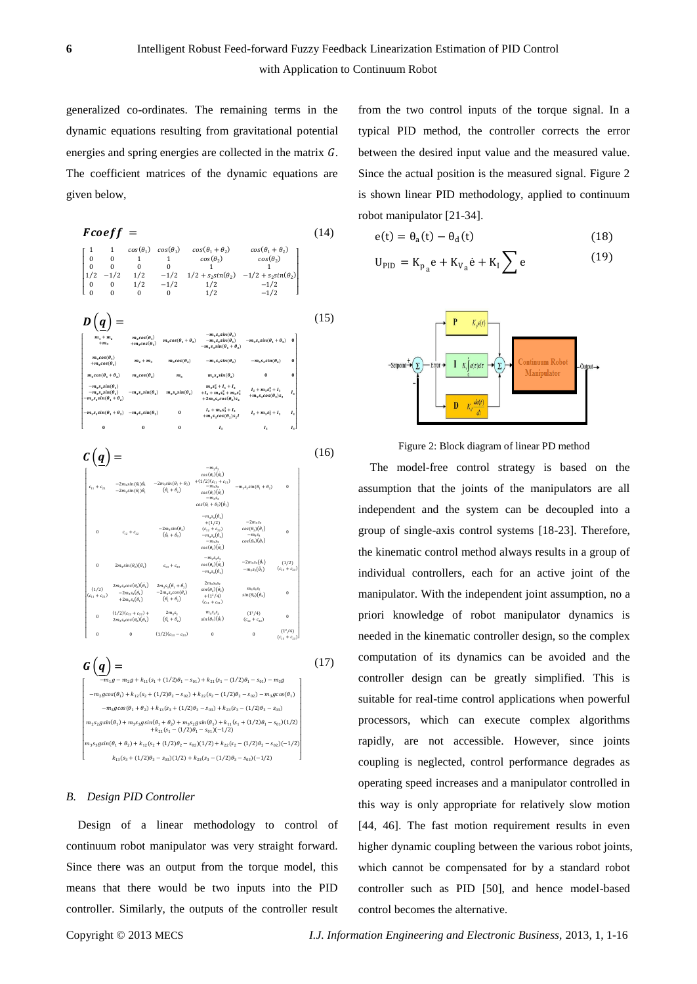generalized co-ordinates. The remaining terms in the dynamic equations resulting from gravitational potential energies and spring energies are collected in the matrix  $G$ . The coefficient matrices of the dynamic equations are given below,

$$
FCoeff = (14)
$$
\n
$$
\begin{bmatrix}\n1 & 1 & cos(\theta_1) & cos(\theta_1 + \theta_2) & cos(\theta_1 + \theta_2) & cos(\theta_1 + \theta_2) \\
0 & 0 & 1 & 1 & cos(\theta_2) & cos(\theta_2) \\
1/2 & -1/2 & 1/2 & -1/2 & 1/2 + s_2 sin(\theta_2) & -1/2 + s_2 sin(\theta_2) \\
0 & 0 & 1/2 & -1/2 & 1/2 & -1/2\n\end{bmatrix}
$$
\n
$$
D \left(\underline{q}\right) = \begin{bmatrix}\n m_1 + m_2 & m_2 cos(\theta_1) & m_3 cos(\theta_1 + \theta_2) & -m_3 s_3 sin(\theta_1) & -m_3 s_3 sin(\theta_1 + \theta_2) & 0 \\
 m_4 m_5 & m_5 cos(\theta_1) & m_5 cos(\theta_1 + \theta_2) & -m_3 s_3 sin(\theta_1 + \theta_2) & 0 \\
 m_5 cos(\theta_1 + \theta_2) & m_6 cos(\theta_2) & m_7 + m_3 & m_5 cos(\theta_2) & -m_5 s_3 sin(\theta_2) & -m_5 s_3 sin(\theta_2) & 0 \\
 m_5 cos(\theta_1 + \theta_2) & m_6 cos(\theta_2) & m_7 & m_3 s_3 sin(\theta_2) & -m_5 s_3 sin(\theta_2) & 0 \\
 -m_5 s_3 sin(\theta_1 + \theta_2) & -m_5 s_3 sin(\theta_2) & m_5 s_3 sin(\theta_2) & m_7 + 1 + m_5 s_1^2 + l_1 + l_2 \\
 -m_5 s_3 sin(\theta_1 + \theta_2) & -m_5 s_3 sin(\theta_2) & m_5 s_3 sin(\theta_2) & l_4 + m_5 s_1^2 + l_1 + l_2 \\
 -m_5 s_3 sin(\theta_1 + \theta_2) & -m_5 s_3 sin(\theta_2) & 0 & l_1 + m_5 s_1^2 + l_1 + l_2 \\
 -m_5 s_3 sin(\theta_1 + \theta_2) & -m_5 s_3 sin(\theta_2) & 0 & l_1 + m_5 s_1^2 + l_1 + l_2 \\
 m_6 cos(\theta_1 + \theta_2) & -m_5 s_3 sin(\theta_2) & m_7 + l_1 + l_2 + l_3 s_1^2 +
$$

 $c(q)$  = L  $c_{11} + c_{21}$  $-2m_2 sin(\theta_1)\dot{\theta}$  $-2m_2 sin(\theta_1)\theta_1$ <br>-2 $m_3 sin(\theta_1)\theta_1$  $-2m_3 sin(\theta_1 + \theta_2)$  $(\dot{\theta}_1 + \dot{\theta}_2)$  $-m_2s_2$ <br>s( $\theta_1$ )( $\dot{\theta}_1$ )  $\begin{array}{l} cos(\theta_1)(\dot{\theta}_1) \\ + (1/2)(c_{11} + c_{21}) \\ -m_3s_2 \end{array}$  $cos(\theta_1)(\dot{\theta}_1)$  $-m_3s_3$ <br>  $\cos(\theta_1 + \theta_2)(\dot{\theta}_1)$  $\sin(A_1 + A_2)$  $\qquad \qquad 0$  $c_{12} + c_{22}$  $\begin{aligned} -2m_3sin(\theta_2) \\ \left(\dot{\theta}_1 + \dot{\theta}_2\right) \end{aligned}$  $-m_3 s_3(\dot{\theta}_1)$  $+(1/2)$  $(c_{12} + c_{22})$ <br>- $m_3 s_2(\dot{\theta}_1)$  $-m_3s_3$ <br>  $cos(\theta_2)(\dot{\theta}_1)$  $\cos(\theta_2)(\dot{\theta}_1)$ <br>  $-m_3s_3$  $cos(\theta_2$  $)(\dot{\theta}$ 5)  $\mathbf 0$ 0  $2m_3 sin(\theta_2)(\dot{\theta})$  $c_{13} + c_{23}$  $-m_3s_3s_2$ <br>  $cos(\theta_2)(\dot{\theta}_1)$ <br>  $-m_3s_3(\dot{\theta}_1)$  $-2m_3s_3(\dot{\theta}_1)$  $-m_3 s_3(\dot{\theta}_2)$  $(1/2)$  $(c_{13} + c_{23})$  $(1/2)$  $(c_{11} + c_{21})$  $2m_3s_3cos(\theta_2)(\dot{\theta}_1)$  $-2m_2s_2(\hat{\theta},$  $\left. -2m_3 s_2(\dot{\theta}_1) \right. \\ + 2m_2 s_2(\dot{\theta}_1)$  $2m_3s_3(\dot{\theta}_1+\dot{\theta}_2)$  $\begin{array}{r} -2m_3s_2cos(\theta_2)\\ (\theta_1+\theta_2) \end{array}$  $2m_{2}$ s<sub>25</sub>  $sin(\theta_2)(\dot{\theta}_2)$ <br>+(1<sup>2</sup>/4)<br>(c<sub>11</sub> + c<sub>21</sub>)  $\begin{array}{l} m_3s_3s_2\\ sin(\theta_2)(\dot{\theta}_2) \end{array}$  $\theta$ 0  $(1/2)(c_{12} + c_{22}) +$ <br>  $2m_3s_3cos(\theta_2)(\dot{\theta}_1)$  $2m_3s_3$ <br>  $(\dot{\theta_1} + \dot{\theta_2})$  $m_3s_3s_2$ <br>  $sin(\theta_2)(\dot{\theta}_1)$  $(1)$  $^{2}/4)$  $(c_{12} + c_{22})$  $\mathbf 0$  $(1/2)(c_{13} - c_{23})$  $(1^2/4)$  $(c_{12}$ (16)  $G(q) =$ (17)

L  $m_2 g + k_{11}(s_1 + (1/2)\theta_1 - s_{01}) + k_{21}(s_1 - (1/2)\theta_1 - s_{01}) - m_3 g$  $-m_2 g cos(\theta_1) + k_{12}(s_2 + (1/2)\theta_2 - s_{02}) + k_{22}(s_2 - (1/2)\theta_2 - s_{02}) - m_3 g cos(\theta_1)$  $-m_3 g cos(\theta_1 + \theta_2) + k_{13}(s_3 + (1/2)\theta_3 - s_{03}) + k_{23}(s_3 - (1/2)\theta_3 - s_{03})$  $m_2s_2gsin(\theta_1) + m_3s_3gsin(\theta_1 + \theta_2) + m_3s_2gsin(\theta_1) + k_{11}(s_1 + (1/2)\theta_1 - s_{01})(1/2)$ <br>  $+ k_{21}(s_1 - (1/2)\theta_1 - s_{01})(-1/2)$  $m_3s_3 g sin(\theta_1 + \theta_2) + k_{12}(s_2 + (1/2)\theta_2 - s_{02})(1/2) + k_{22}(s_2 - (1/2)\theta_2 - s_{02})(-1/2)$  $k_{13}(s_3 + (1/2)\theta_3 - s_{03})(1/2) + k_{23}(s_3 - (1/2)\theta_3 - s_{03})(-1/2)$ 

#### *B. Design PID Controller*

Design of a linear methodology to control of continuum robot manipulator was very straight forward. Since there was an output from the torque model, this means that there would be two inputs into the PID controller. Similarly, the outputs of the controller result from the two control inputs of the torque signal. In a typical PID method, the controller corrects the error between the desired input value and the measured value. Since the actual position is the measured signal. Figure 2 is shown linear PID methodology, applied to continuum robot manipulator [21-34].

$$
e(t) = \theta_a(t) - \theta_d(t) \tag{18}
$$

$$
U_{PID} = K_{p_a} e + K_{V_a} \dot{e} + K_I \sum e
$$
 (19)



Figure 2: Block diagram of linear PD method

The model-free control strategy is based on the assumption that the joints of the manipulators are all independent and the system can be decoupled into a group of single-axis control systems [18-23]. Therefore, the kinematic control method always results in a group of individual controllers, each for an active joint of the manipulator. With the independent joint assumption, no a priori knowledge of robot manipulator dynamics is needed in the kinematic controller design, so the complex computation of its dynamics can be avoided and the controller design can be greatly simplified. This is suitable for real-time control applications when powerful processors, which can execute complex algorithms rapidly, are not accessible. However, since joints coupling is neglected, control performance degrades as operating speed increases and a manipulator controlled in this way is only appropriate for relatively slow motion [44, 46]. The fast motion requirement results in even higher dynamic coupling between the various robot joints, which cannot be compensated for by a standard robot controller such as PID [50], and hence model-based control becomes the alternative.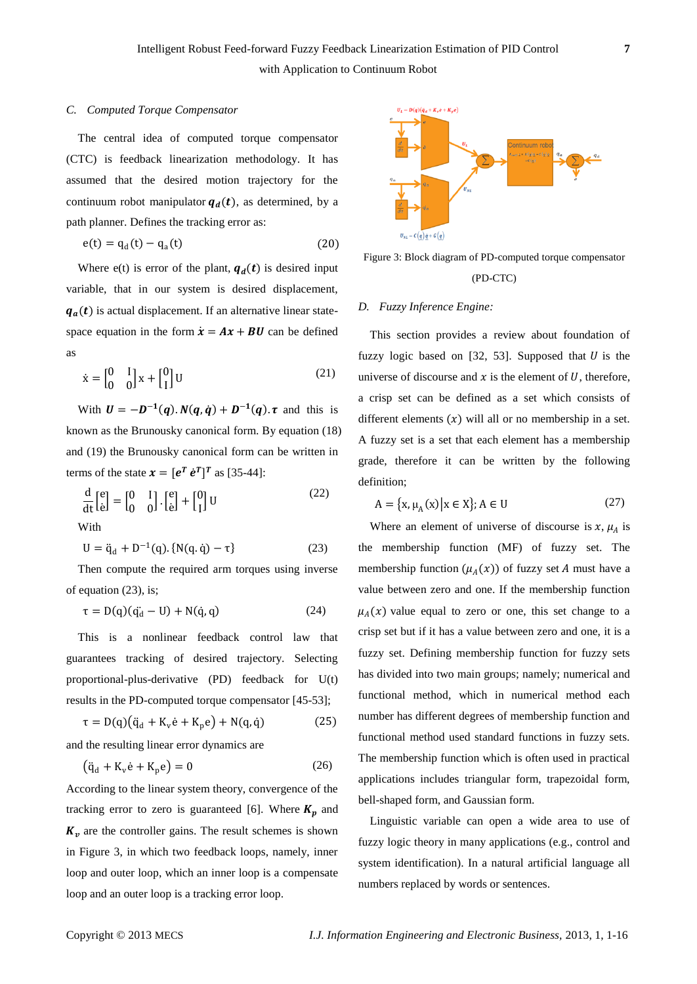### *C. Computed Torque Compensator*

The central idea of computed torque compensator (CTC) is feedback linearization methodology. It has assumed that the desired motion trajectory for the continuum robot manipulator  $q_d(t)$ , as determined, by a path planner. Defines the tracking error as:

$$
e(t) = q_d(t) - q_a(t)
$$
 (20)

Where e(t) is error of the plant,  $q_d(t)$  is desired input variable, that in our system is desired displacement,  $q_a(t)$  is actual displacement. If an alternative linear statespace equation in the form  $\dot{x} = Ax + BU$  can be defined as

$$
\dot{\mathbf{x}} = \begin{bmatrix} 0 & 1 \\ 0 & 0 \end{bmatrix} \mathbf{x} + \begin{bmatrix} 0 \\ 1 \end{bmatrix} \mathbf{U} \tag{21}
$$

With  $U = -D^{-1}(q) \cdot N(q, \dot{q}) + D^{-1}(q) \cdot \tau$  and this is known as the Brunousky canonical form. By equation (18) and (19) the Brunousky canonical form can be written in terms of the state  $\mathbf{x} = [\mathbf{e}^T \ \dot{\mathbf{e}}^T]^T$  as [35-44]:

$$
\frac{d}{dt} \begin{bmatrix} e \\ e \end{bmatrix} = \begin{bmatrix} 0 & 1 \\ 0 & 0 \end{bmatrix} \cdot \begin{bmatrix} e \\ e \end{bmatrix} + \begin{bmatrix} 0 \\ 1 \end{bmatrix} U \tag{22}
$$
\nWith

$$
U = \ddot{q}_d + D^{-1}(q). \{N(q, \dot{q}) - \tau\}
$$
 (23)

Then compute the required arm torques using inverse of equation (23), is;

$$
\tau = D(q)(\ddot{q_d} - U) + N(\dot{q}, q) \tag{24}
$$

This is a nonlinear feedback control law that guarantees tracking of desired trajectory. Selecting proportional-plus-derivative (PD) feedback for U(t) results in the PD-computed torque compensator [45-53];

$$
\tau = D(q)(\ddot{q}_d + K_v \dot{e} + K_p e) + N(q, \dot{q})
$$
 (25)

and the resulting linear error dynamics are

$$
(\ddot{q}_d + K_v \dot{e} + K_p e) = 0 \tag{26}
$$

According to the linear system theory, convergence of the tracking error to zero is guaranteed [6]. Where  $K_p$  and  $K_v$  are the controller gains. The result schemes is shown in Figure 3, in which two feedback loops, namely, inner loop and outer loop, which an inner loop is a compensate loop and an outer loop is a tracking error loop.



Figure 3: Block diagram of PD-computed torque compensator (PD-CTC)

#### *D. Fuzzy Inference Engine:*

This section provides a review about foundation of fuzzy logic based on  $[32, 53]$ . Supposed that  $U$  is the universe of discourse and  $x$  is the element of  $U$ , therefore, a crisp set can be defined as a set which consists of different elements  $(x)$  will all or no membership in a set. A fuzzy set is a set that each element has a membership grade, therefore it can be written by the following definition;

$$
A = \{x, \mu_A(x) \mid x \in X\}; A \in U \tag{27}
$$

Where an element of universe of discourse is  $x$ ,  $\mu_A$  is the membership function (MF) of fuzzy set. The membership function  $(\mu_A(x))$  of fuzzy set A must have a value between zero and one. If the membership function  $\mu_A(x)$  value equal to zero or one, this set change to a crisp set but if it has a value between zero and one, it is a fuzzy set. Defining membership function for fuzzy sets has divided into two main groups; namely; numerical and functional method, which in numerical method each number has different degrees of membership function and functional method used standard functions in fuzzy sets. The membership function which is often used in practical applications includes triangular form, trapezoidal form, bell-shaped form, and Gaussian form.

Linguistic variable can open a wide area to use of fuzzy logic theory in many applications (e.g., control and system identification). In a natural artificial language all numbers replaced by words or sentences.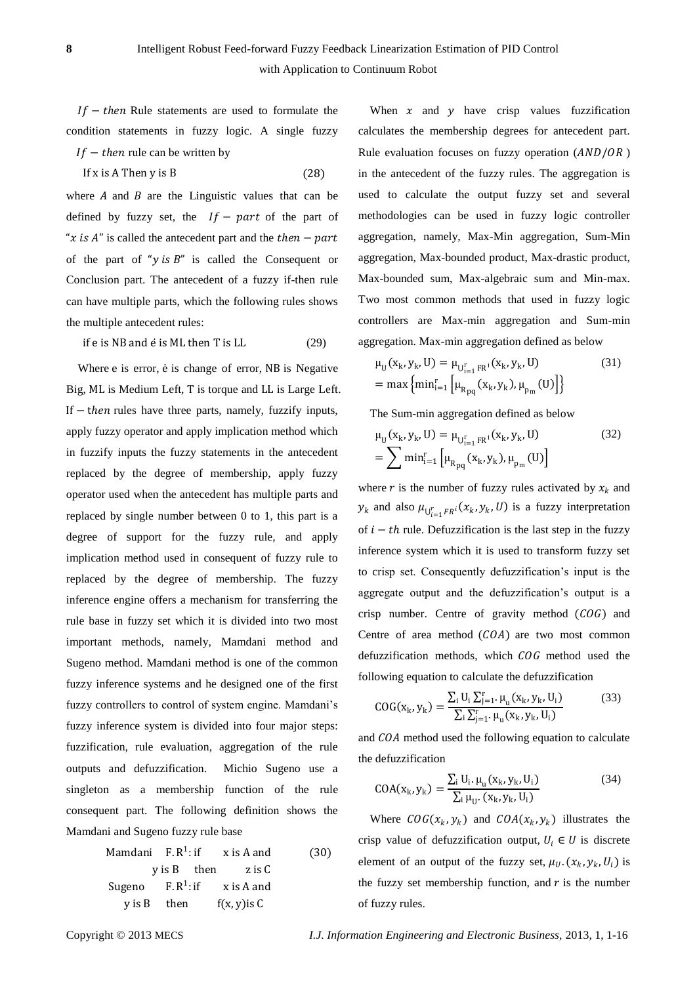$If - then Rule statements are used to formulate the$ condition statements in fuzzy logic. A single fuzzy  $If - then$  rule can be written by

If 
$$
x
$$
 is A Then  $y$  is B \t\t(28)

where  $A$  and  $B$  are the Linguistic values that can be defined by fuzzy set, the  $If - part$  of the part of "x is A" is called the antecedent part and the  $then - part$ of the part of " $y$  is  $B$ " is called the Consequent or Conclusion part. The antecedent of a fuzzy if-then rule can have multiple parts, which the following rules shows the multiple antecedent rules:

if  $e$  is NB and  $\dot{e}$  is ML then T is LL (29)

Where e is error,  $\dot{e}$  is change of error, NB is Negative Big, ML is Medium Left, T is torque and LL is Large Left. If  $-$  then rules have three parts, namely, fuzzify inputs, apply fuzzy operator and apply implication method which in fuzzify inputs the fuzzy statements in the antecedent replaced by the degree of membership, apply fuzzy operator used when the antecedent has multiple parts and replaced by single number between 0 to 1, this part is a degree of support for the fuzzy rule, and apply implication method used in consequent of fuzzy rule to replaced by the degree of membership. The fuzzy inference engine offers a mechanism for transferring the rule base in fuzzy set which it is divided into two most important methods, namely, Mamdani method and Sugeno method. Mamdani method is one of the common fuzzy inference systems and he designed one of the first fuzzy controllers to control of system engine. Mamdani's fuzzy inference system is divided into four major steps: fuzzification, rule evaluation, aggregation of the rule outputs and defuzzification. Michio Sugeno use a singleton as a membership function of the rule consequent part. The following definition shows the Mamdani and Sugeno fuzzy rule base

Mamdani F. 
$$
R^1
$$
: if  $x$  is A and  $y$  is B then  $z$  is C

\nSugeno F.  $R^1$ : if  $x$  is A and  $y$  is B then  $f(x, y)$  is C

When  $x$  and  $y$  have crisp values fuzzification calculates the membership degrees for antecedent part. Rule evaluation focuses on fuzzy operation  $(AND/OR)$ in the antecedent of the fuzzy rules. The aggregation is used to calculate the output fuzzy set and several methodologies can be used in fuzzy logic controller aggregation, namely, Max-Min aggregation, Sum-Min aggregation, Max-bounded product, Max-drastic product, Max-bounded sum, Max-algebraic sum and Min-max. Two most common methods that used in fuzzy logic controllers are Max-min aggregation and Sum-min aggregation. Max-min aggregation defined as below

$$
\mu_{U}(x_{k}, y_{k}, U) = \mu_{U_{i=1}^{r} F R^{i}}(x_{k}, y_{k}, U)
$$
\n
$$
= \max \{ \min_{i=1}^{r} \left[ \mu_{R_{pq}}(x_{k}, y_{k}), \mu_{p_{m}}(U) \right] \}
$$
\n(31)

The Sum-min aggregation defined as below

$$
\mu_{U}(x_{k}, y_{k}, U) = \mu_{U_{i=1}^{r} F R^{i}}(x_{k}, y_{k}, U)
$$
\n
$$
= \sum \min_{i=1}^{r} \left[ \mu_{R_{pq}}(x_{k}, y_{k}), \mu_{p_{m}}(U) \right]
$$
\n(32)

where r is the number of fuzzy rules activated by  $x_k$  and  $y_k$  and also  $\mu_{U_{i=1}^rFR^i}(x_k, y_k, U)$  is a fuzzy interpretation of  $i - th$  rule. Defuzzification is the last step in the fuzzy inference system which it is used to transform fuzzy set to crisp set. Consequently defuzzification's input is the aggregate output and the defuzzification's output is a crisp number. Centre of gravity method  $(COG)$  and Centre of area method  $(COA)$  are two most common defuzzification methods, which  $COG$  method used the following equation to calculate the defuzzification

$$
COG(x_{k}, y_{k}) = \frac{\sum_{i} U_{i} \sum_{j=1}^{r} \mu_{u}(x_{k}, y_{k}, U_{i})}{\sum_{i} \sum_{j=1}^{r} \mu_{u}(x_{k}, y_{k}, U_{i})}
$$
(33)

and COA method used the following equation to calculate the defuzzification

$$
COA(xk, yk) = \frac{\sum_{i} U_i \cdot \mu_u(x_k, y_k, U_i)}{\sum_{i} \mu_u \cdot (x_k, y_k, U_i)}
$$
(34)

Where  $COG(x_k, y_k)$  and  $COA(x_k, y_k)$  illustrates the crisp value of defuzzification output,  $U_i \in U$  is discrete element of an output of the fuzzy set,  $\mu_U$ .  $(x_k, y_k, U_i)$  is the fuzzy set membership function, and  $r$  is the number of fuzzy rules.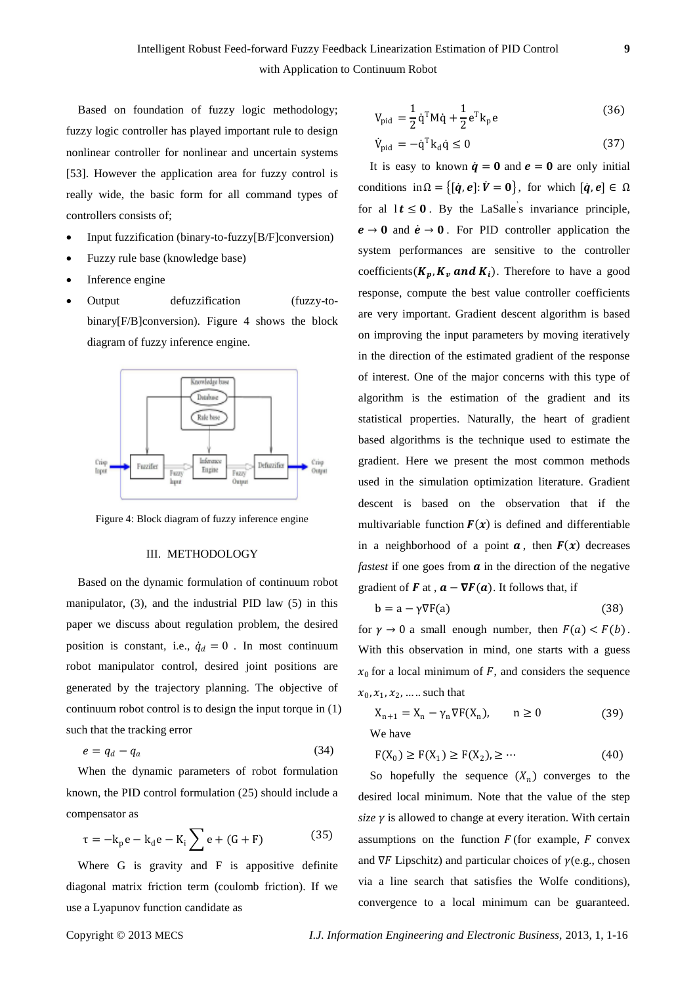Based on foundation of fuzzy logic methodology; fuzzy logic controller has played important rule to design nonlinear controller for nonlinear and uncertain systems [53]. However the application area for fuzzy control is really wide, the basic form for all command types of controllers consists of;

- Input fuzzification (binary-to-fuzzy[B/F]conversion)
- Fuzzy rule base (knowledge base)
- Inference engine
- Output defuzzification (fuzzy-tobinary[F/B]conversion). Figure 4 shows the block diagram of fuzzy inference engine.



Figure 4: Block diagram of fuzzy inference engine

#### III. METHODOLOGY

Based on the dynamic formulation of continuum robot manipulator, (3), and the industrial PID law (5) in this paper we discuss about regulation problem, the desired position is constant, i.e.,  $\dot{q}_d = 0$ . In most continuum robot manipulator control, desired joint positions are generated by the trajectory planning. The objective of continuum robot control is to design the input torque in (1) such that the tracking error

$$
e = q_d - q_a \tag{34}
$$

When the dynamic parameters of robot formulation known, the PID control formulation (25) should include a compensator as

$$
\tau = -k_p e - k_d e - K_i \sum e + (G + F)
$$
 (35)

Where G is gravity and F is appositive definite diagonal matrix friction term (coulomb friction). If we use a Lyapunov function candidate as

$$
V_{pid} = \frac{1}{2} \dot{q}^{T} M \dot{q} + \frac{1}{2} e^{T} k_{p} e
$$
 (36)

$$
\dot{V}_{pid} = -\dot{q}^T k_d \dot{q} \le 0 \tag{37}
$$

It is easy to known  $\dot{q} = 0$  and  $e = 0$  are only initial conditions in  $\Omega = \{ [\dot{q}, e] : \dot{V} = 0 \}$ , for which  $[\dot{q}, e] \in \Omega$ for al  $1t \leq 0$ . By the LaSalle's invariance principle,  $e \rightarrow 0$  and  $\dot{e} \rightarrow 0$ . For PID controller application the system performances are sensitive to the controller coefficients ( $K_p$ ,  $K_v$  and  $K_i$ ). Therefore to have a good response, compute the best value controller coefficients are very important. Gradient descent algorithm is based on improving the input parameters by moving iteratively in the direction of the estimated gradient of the response of interest. One of the major concerns with this type of algorithm is the estimation of the gradient and its statistical properties. Naturally, the heart of gradient based algorithms is the technique used to estimate the gradient. Here we present the most common methods used in the simulation optimization literature. Gradient descent is based on the observation that if the multivariable function  $F(x)$  is [defined](http://en.wikipedia.org/wiki/Defined_and_undefined) and [differentiable](http://en.wikipedia.org/wiki/Differentiable_function) in a neighborhood of a point  $\alpha$ , then  $F(x)$  decreases *fastest* if one goes from  $\alpha$  in the direction of the negative gradient of **F** at ,  $\mathbf{a} - \nabla \mathbf{F}(\mathbf{a})$ . It follows that, if

$$
b = a - \gamma \nabla F(a) \tag{38}
$$

for  $\gamma \to 0$  a small enough number, then  $F(a) < F(b)$ . With this observation in mind, one starts with a guess  $x_0$  for a local minimum of F, and considers the sequence  $x_0, x_1, x_2, \dots$  such that

$$
X_{n+1} = X_n - \gamma_n \nabla F(X_n), \qquad n \ge 0
$$
 (39)  
We have

$$
F(X_0) \ge F(X_1) \ge F(X_2), \ge \cdots
$$
 (40)

So hopefully the sequence  $(X_n)$  converges to the desired local minimum. Note that the value of the step *size*  $\gamma$  is allowed to change at every iteration. With certain assumptions on the function  $F$  (for example,  $F$  [convex](http://en.wikipedia.org/wiki/Convex_function) and  $\nabla F$  Lipschitz) and particular choices of  $\gamma$ (e.g., chosen via a [line search](http://en.wikipedia.org/wiki/Line_search) that satisfies the [Wolfe conditions\)](http://en.wikipedia.org/wiki/Wolfe_conditions), convergence to a local minimum can be guaranteed.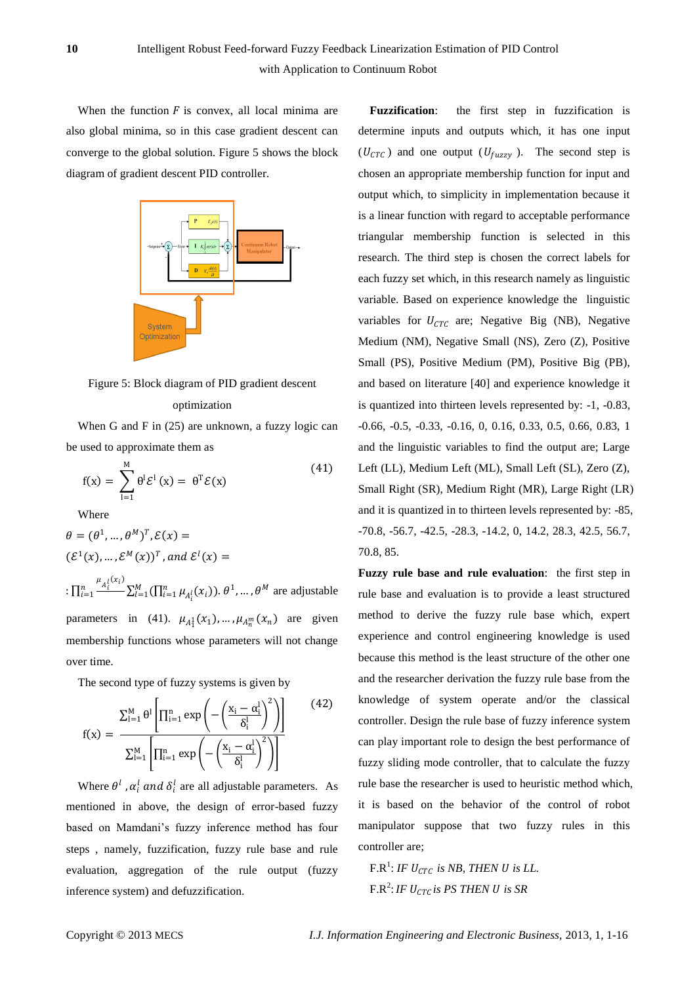with Application to Continuum Robot

When the function  $F$  is [convex,](http://en.wikipedia.org/wiki/Convex_function) all local minima are also global minima, so in this case gradient descent can converge to the global solution. Figure 5 shows the block diagram of gradient descent PID controller.



Figure 5: Block diagram of PID gradient descent optimization

When G and F in (25) are unknown, a fuzzy logic can be used to approximate them as

$$
f(x) = \sum_{l=1}^{M} \theta^l \mathcal{E}^l(x) = \theta^T \mathcal{E}(x)
$$
 (41)

Where

$$
\theta = (\theta^1, ..., \theta^M)^T, \mathcal{E}(x) =
$$

$$
(\mathcal{E}^1(x), ..., \mathcal{E}^M(x))^T, and \mathcal{E}^l(x) =
$$

 $:\prod_{i=1}^n \frac{\mu_{A_i^l}(x_i)}{n}$  $\sum_{i=1}^n \frac{A_i}{i} \sum_{l=1}^M (\prod_{i=1}^n \mu_{A_i^l}(x_i)).$   $\theta^1$ , ...,  $\theta^M$  are adjustable parameters in (41).  $\mu_{A_1^1}(x_1), \dots, \mu_{A_n^m}(x_n)$  are given membership functions whose parameters will not change over time.

The second type of fuzzy systems is given by

$$
f(x)=\frac{\sum_{l=1}^{M}\theta^{l}\left[\prod_{i=1}^{n} \exp\left(-\left(\frac{x_{i}-\alpha_{i}^{l}}{\delta_{i}^{l}}\right)^{2}\right)\right]}{\sum_{l=1}^{M}\left[\prod_{i=1}^{n} \exp\left(-\left(\frac{x_{i}-\alpha_{i}^{l}}{\delta_{i}^{l}}\right)^{2}\right)\right]}\qquad(42)
$$

Where  $\theta^l$ ,  $\alpha_i^l$  and  $\delta_i^l$  are all adjustable parameters. As mentioned in above, the design of error-based fuzzy based on Mamdani's fuzzy inference method has four steps , namely, fuzzification, fuzzy rule base and rule evaluation, aggregation of the rule output (fuzzy inference system) and defuzzification.

**Fuzzification:** the first step in fuzzification is determine inputs and outputs which, it has one input  $(U_{CTC})$  and one output  $(U_{fuzzy})$ . The second step is chosen an appropriate membership function for input and output which, to simplicity in implementation because it is a linear function with regard to acceptable performance triangular membership function is selected in this research. The third step is chosen the correct labels for each fuzzy set which, in this research namely as linguistic variable. Based on experience knowledge the linguistic variables for  $U_{CTC}$  are; Negative Big (NB), Negative Medium (NM), Negative Small (NS), Zero (Z), Positive Small (PS), Positive Medium (PM), Positive Big (PB), and based on literature [40] and experience knowledge it is quantized into thirteen levels represented by: -1, -0.83, -0.66, -0.5, -0.33, -0.16, 0, 0.16, 0.33, 0.5, 0.66, 0.83, 1 and the linguistic variables to find the output are; Large Left (LL), Medium Left (ML), Small Left (SL), Zero (Z), Small Right (SR), Medium Right (MR), Large Right (LR) and it is quantized in to thirteen levels represented by: -85, -70.8, -56.7, -42.5, -28.3, -14.2, 0, 14.2, 28.3, 42.5, 56.7, 70.8, 85.

**Fuzzy rule base and rule evaluation**: the first step in rule base and evaluation is to provide a least structured method to derive the fuzzy rule base which, expert experience and control engineering knowledge is used because this method is the least structure of the other one and the researcher derivation the fuzzy rule base from the knowledge of system operate and/or the classical controller. Design the rule base of fuzzy inference system can play important role to design the best performance of fuzzy sliding mode controller, that to calculate the fuzzy rule base the researcher is used to heuristic method which, it is based on the behavior of the control of robot manipulator suppose that two fuzzy rules in this controller are;

 $F.R^1$ : *IF*  $U_{CTC}$  *is NB, THEN U is LL.* F.R<sup>2</sup> : *IF is PS THEN is SR*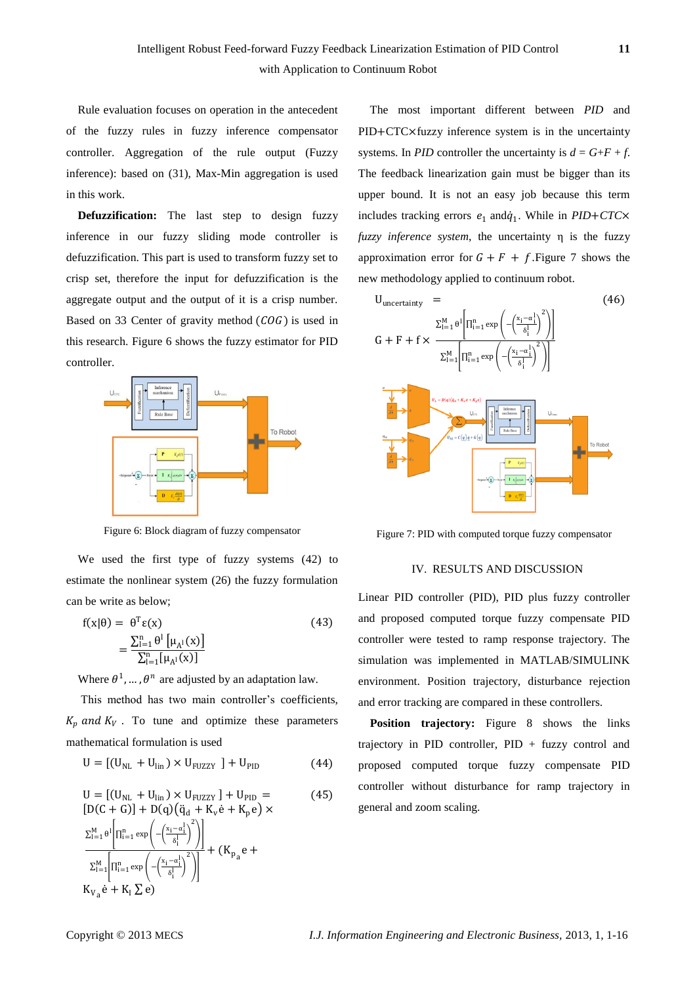Rule evaluation focuses on operation in the antecedent of the fuzzy rules in fuzzy inference compensator controller. Aggregation of the rule output (Fuzzy inference): based on (31), Max-Min aggregation is used in this work.

**Defuzzification:** The last step to design fuzzy inference in our fuzzy sliding mode controller is defuzzification. This part is used to transform fuzzy set to crisp set, therefore the input for defuzzification is the aggregate output and the output of it is a crisp number. Based on 33 Center of gravity method  $(COG)$  is used in this research. Figure 6 shows the fuzzy estimator for PID controller.



Figure 6: Block diagram of fuzzy compensator

We used the first type of fuzzy systems (42) to estimate the nonlinear system (26) the fuzzy formulation can be write as below;

$$
f(x|\theta) = \theta^{T} \varepsilon(x)
$$
  
= 
$$
\frac{\sum_{i=1}^{n} \theta^{i} \left[\mu_{A^{i}}(x)\right]}{\sum_{i=1}^{n} \left[\mu_{A^{i}}(x)\right]}
$$
 (43)

Where  $\theta^1$ , ...,  $\theta^n$  are adjusted by an adaptation law.

This method has two main controller's coefficients,  $K_n$  and  $K_V$ . To tune and optimize these parameters mathematical formulation is used

$$
U = [(U_{NL} + U_{lin}) \times U_{FUZZY}] + U_{PID}
$$
 (44)

$$
U = [(U_{NL} + U_{lin}) \times U_{FUZZY}] + U_{PID} =
$$
\n
$$
[D(C + G)] + D(q) (\ddot{q}_d + K_v \dot{e} + K_p e) \times
$$
\n
$$
\Sigma_{i=1}^{M} \theta^{i} \left[ \Pi_{i=1}^{n} \exp \left( -\left( \frac{x_i - \alpha_i^1}{\delta_i^1} \right)^2 \right) \right] + (K_{p_a} e +
$$
\n
$$
\Sigma_{i=1}^{M} \left[ \Pi_{i=1}^{n} \exp \left( -\left( \frac{x_i - \alpha_i^1}{\delta_i^1} \right)^2 \right) \right]
$$
\n
$$
K_{V_a} \dot{e} + K_I \Sigma e)
$$
\n(45)

The most important different between *PID* and PID+CTC×fuzzy inference system is in the uncertainty systems. In *PID* controller the uncertainty is  $d = G + F + f$ . The feedback linearization gain must be bigger than its upper bound. It is not an easy job because this term includes tracking errors  $e_1$  and  $\dot{q}_1$ . While in *PID*+*CTC*× *fuzzy inference system*, the uncertainty η is the fuzzy approximation error for  $G + F + f$ . Figure 7 shows the new methodology applied to continuum robot.



Figure 7: PID with computed torque fuzzy compensator

## IV. RESULTS AND DISCUSSION

Linear PID controller (PID), PID plus fuzzy controller and proposed computed torque fuzzy compensate PID controller were tested to ramp response trajectory. The simulation was implemented in MATLAB/SIMULINK environment. Position trajectory, disturbance rejection and error tracking are compared in these controllers.

**Position trajectory:** Figure 8 shows the links trajectory in PID controller,  $PID + fuzzy$  control and proposed computed torque fuzzy compensate PID controller without disturbance for ramp trajectory in general and zoom scaling.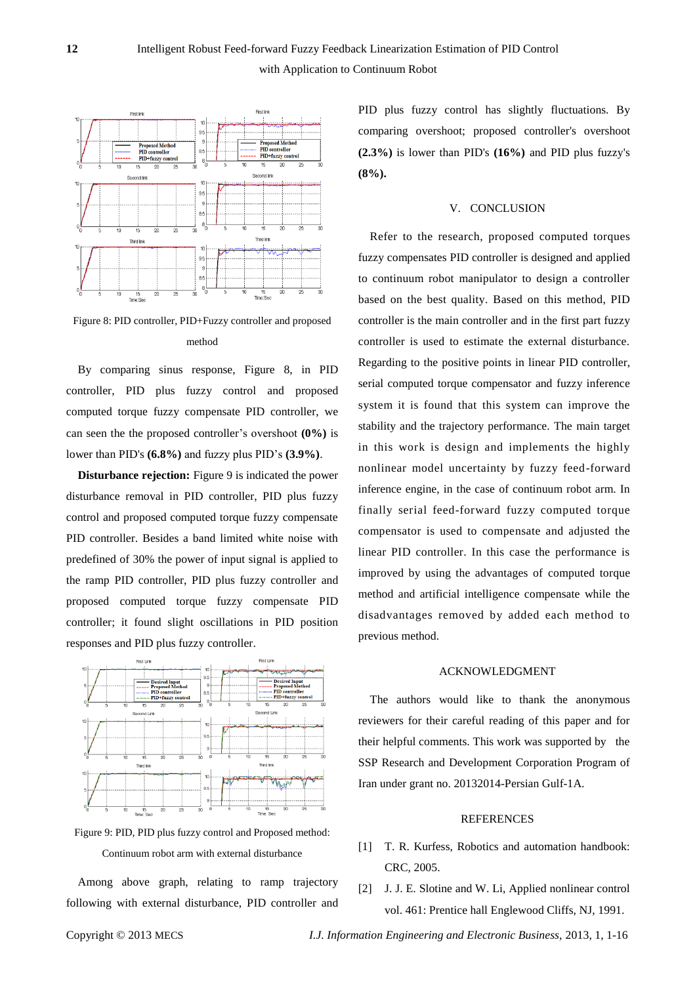



Figure 8: PID controller, PID+Fuzzy controller and proposed method

By comparing sinus response, Figure 8, in PID controller, PID plus fuzzy control and proposed computed torque fuzzy compensate PID controller, we can seen the the proposed controller's overshoot **(0%)** is lower than PID's **(6.8%)** and fuzzy plus PID's **(3.9%)**.

**Disturbance rejection:** Figure 9 is indicated the power disturbance removal in PID controller, PID plus fuzzy control and proposed computed torque fuzzy compensate PID controller. Besides a band limited white noise with predefined of 30% the power of input signal is applied to the ramp PID controller, PID plus fuzzy controller and proposed computed torque fuzzy compensate PID controller; it found slight oscillations in PID position responses and PID plus fuzzy controller.



Figure 9: PID, PID plus fuzzy control and Proposed method: Continuum robot arm with external disturbance

Among above graph, relating to ramp trajectory following with external disturbance, PID controller and PID plus fuzzy control has slightly fluctuations. By comparing overshoot; proposed controller's overshoot **(2.3%)** is lower than PID's **(16%)** and PID plus fuzzy's **(8%).** 

#### V. CONCLUSION

Refer to the research, proposed computed torques fuzzy compensates PID controller is designed and applied to continuum robot manipulator to design a controller based on the best quality. Based on this method, PID controller is the main controller and in the first part fuzzy controller is used to estimate the external disturbance. Regarding to the positive points in linear PID controller, serial computed torque compensator and fuzzy inference system it is found that this system can improve the stability and the trajectory performance. The main target in this work is design and implements the highly nonlinear model uncertainty by fuzzy feed-forward inference engine, in the case of continuum robot arm. In finally serial feed-forward fuzzy computed torque compensator is used to compensate and adjusted the linear PID controller. In this case the performance is improved by using the advantages of computed torque method and artificial intelligence compensate while the disadvantages removed by added each method to previous method.

#### ACKNOWLEDGMENT

The authors would like to thank the anonymous reviewers for their careful reading of this paper and for their helpful comments. This work was supported by the SSP Research and Development Corporation Program of Iran under grant no. 20132014-Persian Gulf-1A.

#### REFERENCES

- [1] T. R. Kurfess, Robotics and automation handbook: CRC, 2005.
- [2] J. J. E. Slotine and W. Li, Applied nonlinear control vol. 461: Prentice hall Englewood Cliffs, NJ, 1991.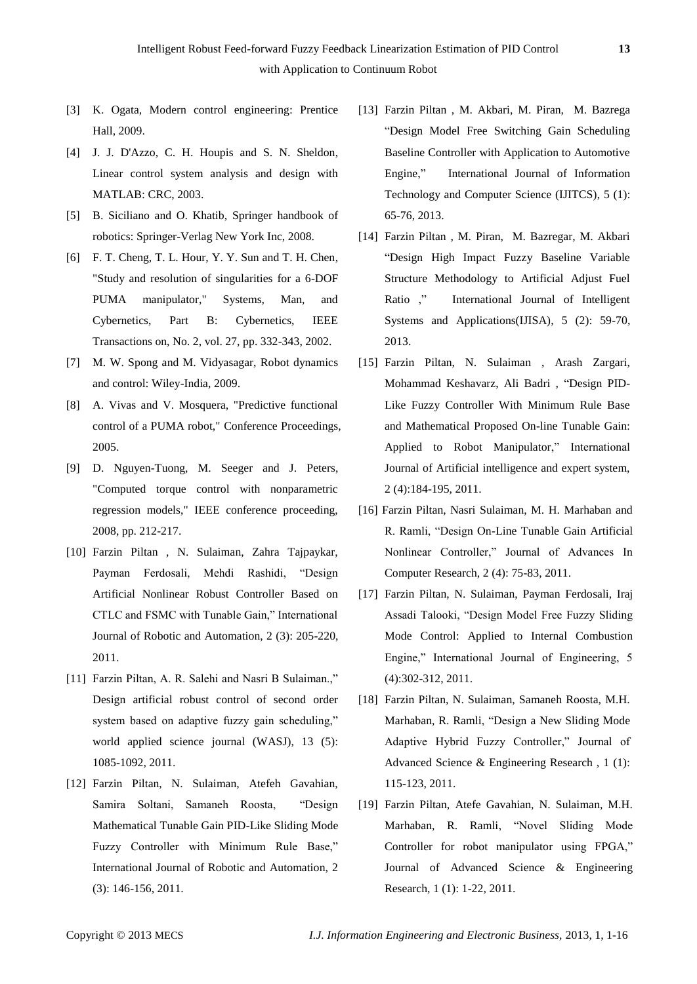- [3] K. Ogata, Modern control engineering: Prentice Hall, 2009.
- [4] J. J. D'Azzo, C. H. Houpis and S. N. Sheldon, Linear control system analysis and design with MATLAB: CRC, 2003.
- [5] B. Siciliano and O. Khatib, Springer handbook of robotics: Springer-Verlag New York Inc, 2008.
- [6] F. T. Cheng, T. L. Hour, Y. Y. Sun and T. H. Chen, "Study and resolution of singularities for a 6-DOF PUMA manipulator," Systems, Man, and Cybernetics, Part B: Cybernetics, IEEE Transactions on, No. 2, vol. 27, pp. 332-343, 2002.
- [7] M. W. Spong and M. Vidyasagar, Robot dynamics and control: Wiley-India, 2009.
- [8] A. Vivas and V. Mosquera, "Predictive functional control of a PUMA robot," Conference Proceedings, 2005.
- [9] D. Nguyen-Tuong, M. Seeger and J. Peters, "Computed torque control with nonparametric regression models," IEEE conference proceeding, 2008, pp. 212-217.
- [10] Farzin Piltan , N. Sulaiman, Zahra Tajpaykar, Payman Ferdosali, Mehdi Rashidi, "Design Artificial Nonlinear Robust Controller Based on CTLC and FSMC with Tunable Gain," International Journal of Robotic and Automation, 2 (3): 205-220, 2011.
- [11] Farzin Piltan, A. R. Salehi and Nasri B Sulaiman.," Design artificial robust control of second order system based on adaptive fuzzy gain scheduling," world applied science journal (WASJ), 13 (5): 1085-1092, 2011.
- [12] Farzin Piltan, N. Sulaiman, Atefeh Gavahian, Samira Soltani, Samaneh Roosta, "Design Mathematical Tunable Gain PID-Like Sliding Mode Fuzzy Controller with Minimum Rule Base," International Journal of Robotic and Automation, 2 (3): 146-156, 2011.
- [13] Farzin Piltan , M. Akbari, M. Piran, M. Bazrega ["Design Model Free Switching Gain Scheduling](http://www.mecs-press.org/ijitcs/ijitcs-v5-n1/v5n1-7.html)  [Baseline Controller with Application to Automotive](http://www.mecs-press.org/ijitcs/ijitcs-v5-n1/v5n1-7.html)  [Engine,](http://www.mecs-press.org/ijitcs/ijitcs-v5-n1/v5n1-7.html)" International Journal of Information Technology and Computer Science (IJITCS), 5 (1): 65-76, 2013.
- [14] Farzin Piltan , M. Piran, M. Bazregar, M. Akbari ["Design High Impact Fuzzy Baseline Variable](http://scholar.google.com/citations?view_op=view_citation&hl=en&user=qFs3XJoAAAAJ&pagesize=100&citation_for_view=qFs3XJoAAAAJ:isC4tDSrTZIC)  [Structure Methodology to Artificial Adjust Fuel](http://scholar.google.com/citations?view_op=view_citation&hl=en&user=qFs3XJoAAAAJ&pagesize=100&citation_for_view=qFs3XJoAAAAJ:isC4tDSrTZIC)  [Ratio](http://scholar.google.com/citations?view_op=view_citation&hl=en&user=qFs3XJoAAAAJ&pagesize=100&citation_for_view=qFs3XJoAAAAJ:isC4tDSrTZIC) ," International Journal of Intelligent Systems and Applications(IJISA), 5 (2): 59-70, 2013.
- [15] Farzin Piltan, N. Sulaiman , Arash Zargari, Mohammad Keshavarz, Ali Badri , "Design PID-Like Fuzzy Controller With Minimum Rule Base and Mathematical Proposed On-line Tunable Gain: Applied to Robot Manipulator," International Journal of Artificial intelligence and expert system, 2 (4):184-195, 2011.
- [16] Farzin Piltan, Nasri Sulaiman, M. H. Marhaban and R. Ramli, "Design On-Line Tunable Gain Artificial Nonlinear Controller," Journal of Advances In Computer Research, 2 (4): 75-83, 2011.
- [17] Farzin Piltan, N. Sulaiman, Payman Ferdosali, Iraj Assadi Talooki, "Design Model Free Fuzzy Sliding Mode Control: Applied to Internal Combustion Engine," International Journal of Engineering, 5 (4):302-312, 2011.
- [18] Farzin Piltan, N. Sulaiman, Samaneh Roosta, M.H. Marhaban, R. Ramli, "Design a New Sliding Mode Adaptive Hybrid Fuzzy Controller," Journal of Advanced Science & Engineering Research , 1 (1): 115-123, 2011.
- [19] Farzin Piltan, Atefe Gavahian, N. Sulaiman, M.H. Marhaban, R. Ramli, "Novel Sliding Mode Controller for robot manipulator using FPGA," Journal of Advanced Science & Engineering Research, 1 (1): 1-22, 2011.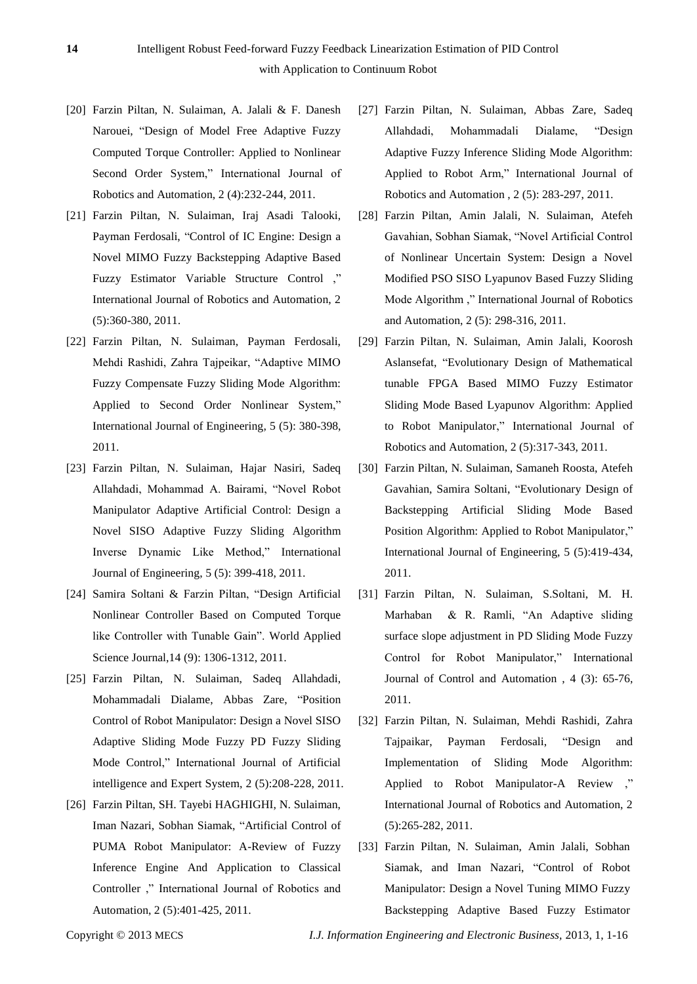- [20] Farzin Piltan, N. Sulaiman, A. Jalali & F. Danesh Narouei, "Design of Model Free Adaptive Fuzzy Computed Torque Controller: Applied to Nonlinear Second Order System," International Journal of Robotics and Automation, 2 (4):232-244, 2011.
- [21] Farzin Piltan, N. Sulaiman, Iraj Asadi Talooki, Payman Ferdosali, "Control of IC Engine: Design a Novel MIMO Fuzzy Backstepping Adaptive Based Fuzzy Estimator Variable Structure Control ," International Journal of Robotics and Automation, 2 (5):360-380, 2011.
- [22] Farzin Piltan, N. Sulaiman, Payman Ferdosali, Mehdi Rashidi, Zahra Tajpeikar, "Adaptive MIMO Fuzzy Compensate Fuzzy Sliding Mode Algorithm: Applied to Second Order Nonlinear System," International Journal of Engineering, 5 (5): 380-398, 2011.
- [23] Farzin Piltan, N. Sulaiman, Hajar Nasiri, Sadeq Allahdadi, Mohammad A. Bairami, "Novel Robot Manipulator Adaptive Artificial Control: Design a Novel SISO Adaptive Fuzzy Sliding Algorithm Inverse Dynamic Like Method," International Journal of Engineering, 5 (5): 399-418, 2011.
- [24] Samira Soltani & Farzin Piltan, "Design Artificial Nonlinear Controller Based on Computed Torque like Controller with Tunable Gain". World Applied Science Journal,14 (9): 1306-1312, 2011.
- [25] Farzin Piltan, N. Sulaiman, Sadeq Allahdadi, Mohammadali Dialame, Abbas Zare, "Position Control of Robot Manipulator: Design a Novel SISO Adaptive Sliding Mode Fuzzy PD Fuzzy Sliding Mode Control," International Journal of Artificial intelligence and Expert System, 2 (5):208-228, 2011.
- [26] Farzin Piltan, SH. Tayebi HAGHIGHI, N. Sulaiman, Iman Nazari, Sobhan Siamak, "Artificial Control of PUMA Robot Manipulator: A-Review of Fuzzy Inference Engine And Application to Classical Controller ," International Journal of Robotics and Automation, 2 (5):401-425, 2011.
- [27] Farzin Piltan, N. Sulaiman, Abbas Zare, Sadeq Allahdadi, Mohammadali Dialame, "Design Adaptive Fuzzy Inference Sliding Mode Algorithm: Applied to Robot Arm," International Journal of Robotics and Automation , 2 (5): 283-297, 2011.
- [28] Farzin Piltan, Amin Jalali, N. Sulaiman, Atefeh Gavahian, Sobhan Siamak, "Novel Artificial Control of Nonlinear Uncertain System: Design a Novel Modified PSO SISO Lyapunov Based Fuzzy Sliding Mode Algorithm ," International Journal of Robotics and Automation, 2 (5): 298-316, 2011.
- [29] Farzin Piltan, N. Sulaiman, Amin Jalali, Koorosh Aslansefat, "Evolutionary Design of Mathematical tunable FPGA Based MIMO Fuzzy Estimator Sliding Mode Based Lyapunov Algorithm: Applied to Robot Manipulator," International Journal of Robotics and Automation, 2 (5):317-343, 2011.
- [30] Farzin Piltan, N. Sulaiman, Samaneh Roosta, Atefeh Gavahian, Samira Soltani, "Evolutionary Design of Backstepping Artificial Sliding Mode Based Position Algorithm: Applied to Robot Manipulator," International Journal of Engineering, 5 (5):419-434, 2011.
- [31] Farzin Piltan, N. Sulaiman, S.Soltani, M. H. Marhaban & R. Ramli, "An Adaptive sliding surface slope adjustment in PD Sliding Mode Fuzzy Control for Robot Manipulator," International Journal of Control and Automation , 4 (3): 65-76, 2011.
- [32] Farzin Piltan, N. Sulaiman, Mehdi Rashidi, Zahra Tajpaikar, Payman Ferdosali, "Design and Implementation of Sliding Mode Algorithm: Applied to Robot Manipulator-A Review ," International Journal of Robotics and Automation, 2 (5):265-282, 2011.
- [33] Farzin Piltan, N. Sulaiman, Amin Jalali, Sobhan Siamak, and Iman Nazari, "Control of Robot Manipulator: Design a Novel Tuning MIMO Fuzzy Backstepping Adaptive Based Fuzzy Estimator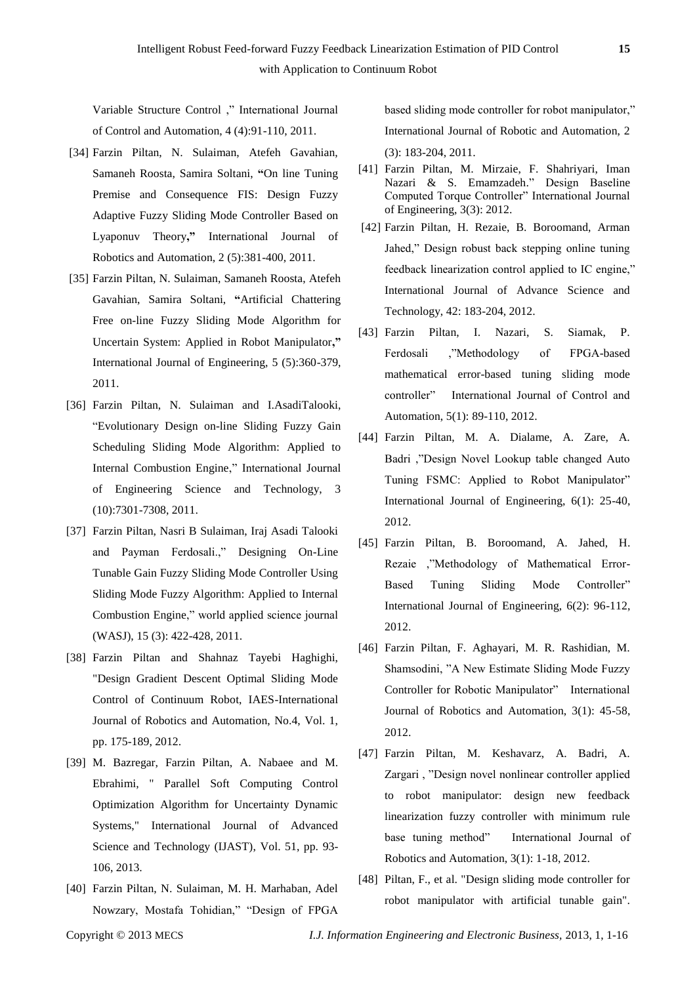Variable Structure Control ," International Journal of Control and Automation, 4 (4):91-110, 2011.

- [34] Farzin Piltan, N. Sulaiman, Atefeh Gavahian, Samaneh Roosta, Samira Soltani, **"**[On line Tuning](http://www.cscjournals.org/csc/manuscriptinfo.php?ManuscriptCode=67.68.76.59.39.47.49.104&JCode=IJRA&EJCode=66.67.75.58.105&Volume=2&Issue=5)  [Premise and Consequence FIS: Design Fuzzy](http://www.cscjournals.org/csc/manuscriptinfo.php?ManuscriptCode=67.68.76.59.39.47.49.104&JCode=IJRA&EJCode=66.67.75.58.105&Volume=2&Issue=5)  [Adaptive Fuzzy Sliding Mode Controller Based on](http://www.cscjournals.org/csc/manuscriptinfo.php?ManuscriptCode=67.68.76.59.39.47.49.104&JCode=IJRA&EJCode=66.67.75.58.105&Volume=2&Issue=5)  [Lyaponuv Theory](http://www.cscjournals.org/csc/manuscriptinfo.php?ManuscriptCode=67.68.76.59.39.47.49.104&JCode=IJRA&EJCode=66.67.75.58.105&Volume=2&Issue=5)**,"** International Journal of Robotics and Automation, 2 (5):381-400, 2011.
- [35] Farzin Piltan, N. Sulaiman, Samaneh Roosta, Atefeh Gavahian, Samira Soltani, **"**[Artificial Chattering](http://www.cscjournals.org/csc/manuscriptinfo.php?ManuscriptCode=68.69.64.40.46.44.44.103&JCode=IJE&EJCode=70.71.66.101&Volume=5&Issue=5)  [Free on-line Fuzzy Sliding Mode Algorithm for](http://www.cscjournals.org/csc/manuscriptinfo.php?ManuscriptCode=68.69.64.40.46.44.44.103&JCode=IJE&EJCode=70.71.66.101&Volume=5&Issue=5)  [Uncertain System: Applied in Robot Manipulator](http://www.cscjournals.org/csc/manuscriptinfo.php?ManuscriptCode=68.69.64.40.46.44.44.103&JCode=IJE&EJCode=70.71.66.101&Volume=5&Issue=5)**,"**  International Journal of Engineering, 5 (5):360-379, 2011.
- [36] Farzin Piltan, N. Sulaiman and I.AsadiTalooki, "Evolutionary Design on-line Sliding Fuzzy Gain Scheduling Sliding Mode Algorithm: Applied to Internal Combustion Engine," International Journal of Engineering Science and Technology, 3 (10):7301-7308, 2011.
- [37] Farzin Piltan, Nasri B Sulaiman, Iraj Asadi Talooki and Payman Ferdosali.," Designing On-Line Tunable Gain Fuzzy Sliding Mode Controller Using Sliding Mode Fuzzy Algorithm: Applied to Internal Combustion Engine," world applied science journal (WASJ), 15 (3): 422-428, 2011.
- [38] Farzin Piltan and Shahnaz Tayebi Haghighi, "Design Gradient Descent Optimal Sliding Mode Control of Continuum Robot, IAES-International Journal of Robotics and Automation, No.4, Vol. 1, pp. 175-189, 2012.
- [39] M. Bazregar, Farzin Piltan, A. Nabaee and M. Ebrahimi, " Parallel Soft Computing Control Optimization Algorithm for Uncertainty Dynamic Systems," International Journal of Advanced Science and Technology (IJAST), Vol. 51, pp. 93- 106, 2013.
- [40] Farzin Piltan, N. Sulaiman, M. H. Marhaban, Adel Nowzary, Mostafa Tohidian," "Design of FPGA

based sliding mode controller for robot manipulator," International Journal of Robotic and Automation, 2 (3): 183-204, 2011.

- [41] Farzin Piltan, M. Mirzaie, F. Shahriyari, Iman Nazari & S. Emamzadeh." Design Baseline Computed Torque Controller" International Journal of Engineering, 3(3): 2012.
- [42] Farzin Piltan, H. Rezaie, B. Boroomand, Arman Jahed," Design robust back stepping online tuning feedback linearization control applied to IC engine," International Journal of Advance Science and Technology, 42: 183-204, 2012.
- [43] Farzin Piltan, I. Nazari, S. Siamak, P. Ferdosali ,"Methodology of FPGA-based mathematical error-based tuning sliding mode controller" International Journal of Control and Automation, 5(1): 89-110, 2012.
- [44] Farzin Piltan, M. A. Dialame, A. Zare, A. Badri ,"Design Novel Lookup table changed Auto Tuning FSMC: Applied to Robot Manipulator" International Journal of Engineering, 6(1): 25-40, 2012.
- [45] Farzin Piltan, B. Boroomand, A. Jahed, H. Rezaie ,"Methodology of Mathematical Error-Based Tuning Sliding Mode Controller" International Journal of Engineering, 6(2): 96-112, 2012.
- [46] Farzin Piltan, F. Aghayari, M. R. Rashidian, M. Shamsodini, "A New Estimate Sliding Mode Fuzzy Controller for Robotic Manipulator" International Journal of Robotics and Automation, 3(1): 45-58, 2012.
- [47] Farzin Piltan, M. Keshavarz, A. Badri, A. Zargari , "Design novel nonlinear controller applied to robot manipulator: design new feedback linearization fuzzy controller with minimum rule base tuning method" International Journal of Robotics and Automation, 3(1): 1-18, 2012.
- [48] Piltan, F., et al. "Design sliding mode controller for robot manipulator with artificial tunable gain".